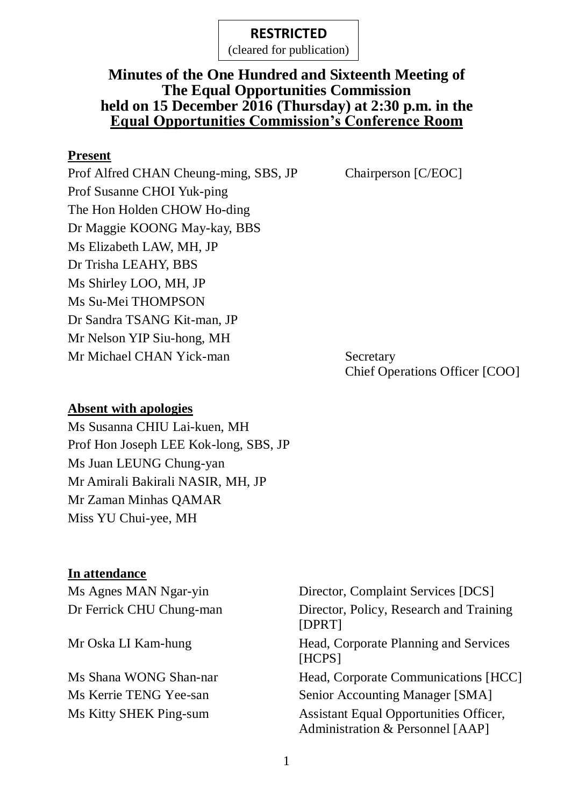(cleared for publication)

### **Minutes of the One Hundred and Sixteenth Meeting of The Equal Opportunities Commission held on 15 December 2016 (Thursday) at 2:30 p.m. in the Equal Opportunities Commission's Conference Room**

#### **Present**

Prof Alfred CHAN Cheung-ming, SBS, JP Chairperson [C/EOC] Prof Susanne CHOI Yuk-ping The Hon Holden CHOW Ho-ding Dr Maggie KOONG May-kay, BBS Ms Elizabeth LAW, MH, JP Dr Trisha LEAHY, BBS Ms Shirley LOO, MH, JP Ms Su-Mei THOMPSON Dr Sandra TSANG Kit-man, JP Mr Nelson YIP Siu-hong, MH Mr Michael CHAN Yick-man Secretary

Chief Operations Officer [COO]

#### **Absent with apologies**

Ms Susanna CHIU Lai-kuen, MH Prof Hon Joseph LEE Kok-long, SBS, JP Ms Juan LEUNG Chung-yan Mr Amirali Bakirali NASIR, MH, JP Mr Zaman Minhas QAMAR Miss YU Chui-yee, MH

### **In attendance**

Ms Agnes MAN Ngar-yin Director, Complaint Services [DCS] Dr Ferrick CHU Chung-man Director, Policy, Research and Training [DPRT] Mr Oska LI Kam-hung Head, Corporate Planning and Services [HCPS] Ms Shana WONG Shan-nar Head, Corporate Communications [HCC] Ms Kerrie TENG Yee-san Senior Accounting Manager [SMA] Ms Kitty SHEK Ping-sum Assistant Equal Opportunities Officer, Administration & Personnel [AAP]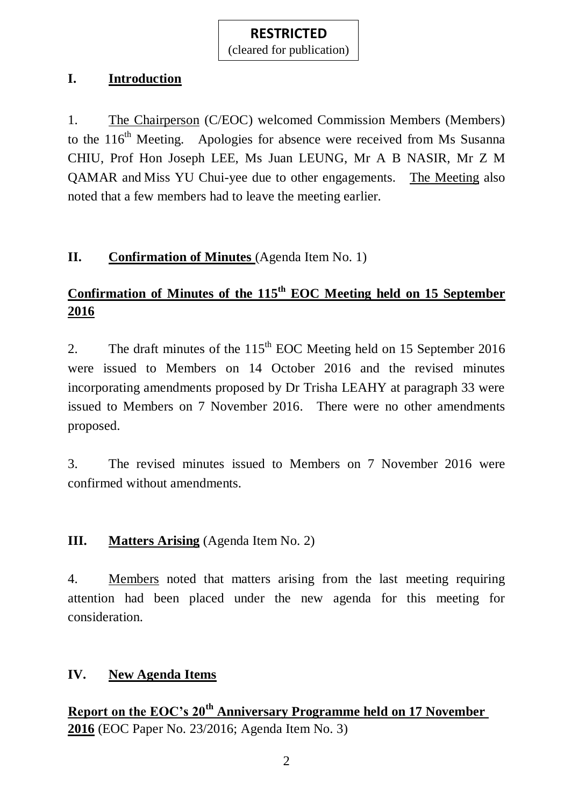(cleared for publication)

### **I. Introduction**

1. The Chairperson (C/EOC) welcomed Commission Members (Members) to the 116<sup>th</sup> Meeting. Apologies for absence were received from Ms Susanna CHIU, Prof Hon Joseph LEE, Ms Juan LEUNG, Mr A B NASIR, Mr Z M QAMAR and Miss YU Chui-yee due to other engagements. The Meeting also noted that a few members had to leave the meeting earlier.

## **II. Confirmation of Minutes** (Agenda Item No. 1)

# **Confirmation of Minutes of the 115 th EOC Meeting held on 15 September 2016**

2. The draft minutes of the  $115<sup>th</sup>$  EOC Meeting held on 15 September 2016 were issued to Members on 14 October 2016 and the revised minutes incorporating amendments proposed by Dr Trisha LEAHY at paragraph 33 were issued to Members on 7 November 2016. There were no other amendments proposed.

3. The revised minutes issued to Members on 7 November 2016 were confirmed without amendments.

## **III. Matters Arising** (Agenda Item No. 2)

4. Members noted that matters arising from the last meeting requiring attention had been placed under the new agenda for this meeting for consideration.

## **IV. New Agenda Items**

**Report on the EOC's 20th Anniversary Programme held on 17 November 2016** (EOC Paper No. 23/2016; Agenda Item No. 3)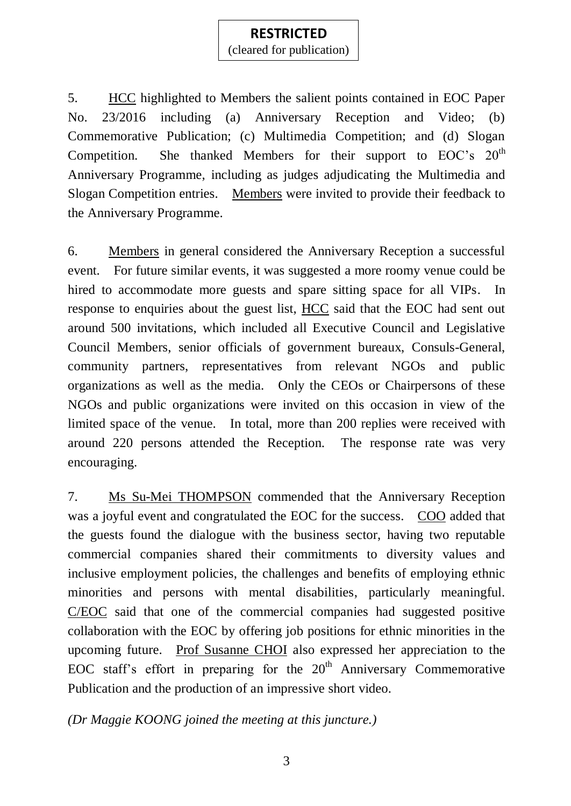(cleared for publication)

5. HCC highlighted to Members the salient points contained in EOC Paper No. 23/2016 including (a) Anniversary Reception and Video; (b) Commemorative Publication; (c) Multimedia Competition; and (d) Slogan Competition. She thanked Members for their support to  $EOC$ 's  $20<sup>th</sup>$ Anniversary Programme, including as judges adjudicating the Multimedia and Slogan Competition entries. Members were invited to provide their feedback to the Anniversary Programme.

6. Members in general considered the Anniversary Reception a successful event. For future similar events, it was suggested a more roomy venue could be hired to accommodate more guests and spare sitting space for all VIPs. In response to enquiries about the guest list, HCC said that the EOC had sent out around 500 invitations, which included all Executive Council and Legislative Council Members, senior officials of government bureaux, Consuls-General, community partners, representatives from relevant NGOs and public organizations as well as the media. Only the CEOs or Chairpersons of these NGOs and public organizations were invited on this occasion in view of the limited space of the venue. In total, more than 200 replies were received with around 220 persons attended the Reception. The response rate was very encouraging.

7. Ms Su-Mei THOMPSON commended that the Anniversary Reception was a joyful event and congratulated the EOC for the success. COO added that the guests found the dialogue with the business sector, having two reputable commercial companies shared their commitments to diversity values and inclusive employment policies, the challenges and benefits of employing ethnic minorities and persons with mental disabilities, particularly meaningful. C/EOC said that one of the commercial companies had suggested positive collaboration with the EOC by offering job positions for ethnic minorities in the upcoming future. Prof Susanne CHOI also expressed her appreciation to the EOC staff's effort in preparing for the  $20<sup>th</sup>$  Anniversary Commemorative Publication and the production of an impressive short video.

*(Dr Maggie KOONG joined the meeting at this juncture.)*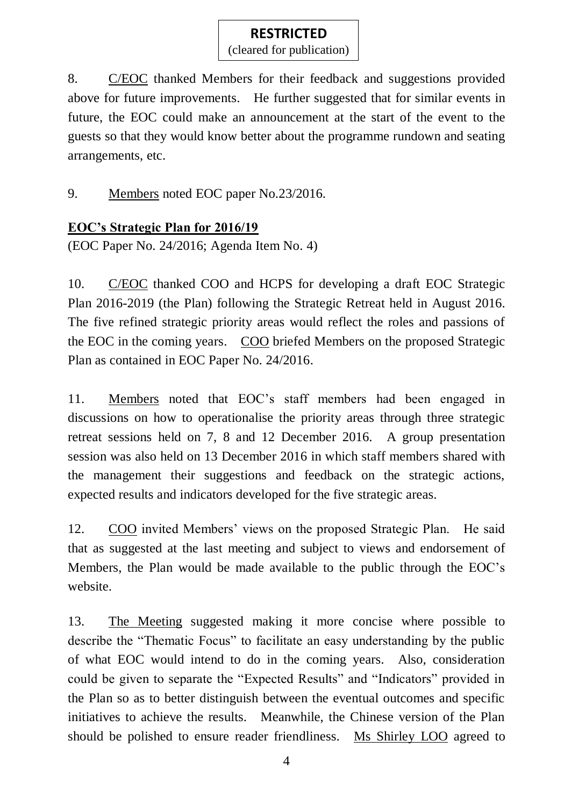(cleared for publication)

8. C/EOC thanked Members for their feedback and suggestions provided above for future improvements. He further suggested that for similar events in future, the EOC could make an announcement at the start of the event to the guests so that they would know better about the programme rundown and seating arrangements, etc.

9. Members noted EOC paper No.23/2016.

### **EOC's Strategic Plan for 2016/19**

(EOC Paper No. 24/2016; Agenda Item No. 4)

10. C/EOC thanked COO and HCPS for developing a draft EOC Strategic Plan 2016-2019 (the Plan) following the Strategic Retreat held in August 2016. The five refined strategic priority areas would reflect the roles and passions of the EOC in the coming years. COO briefed Members on the proposed Strategic Plan as contained in EOC Paper No. 24/2016.

11. Members noted that EOC's staff members had been engaged in discussions on how to operationalise the priority areas through three strategic retreat sessions held on 7, 8 and 12 December 2016. A group presentation session was also held on 13 December 2016 in which staff members shared with the management their suggestions and feedback on the strategic actions, expected results and indicators developed for the five strategic areas.

12. COO invited Members' views on the proposed Strategic Plan. He said that as suggested at the last meeting and subject to views and endorsement of Members, the Plan would be made available to the public through the EOC's website.

13. The Meeting suggested making it more concise where possible to describe the "Thematic Focus" to facilitate an easy understanding by the public of what EOC would intend to do in the coming years. Also, consideration could be given to separate the "Expected Results" and "Indicators" provided in the Plan so as to better distinguish between the eventual outcomes and specific initiatives to achieve the results. Meanwhile, the Chinese version of the Plan should be polished to ensure reader friendliness. Ms Shirley LOO agreed to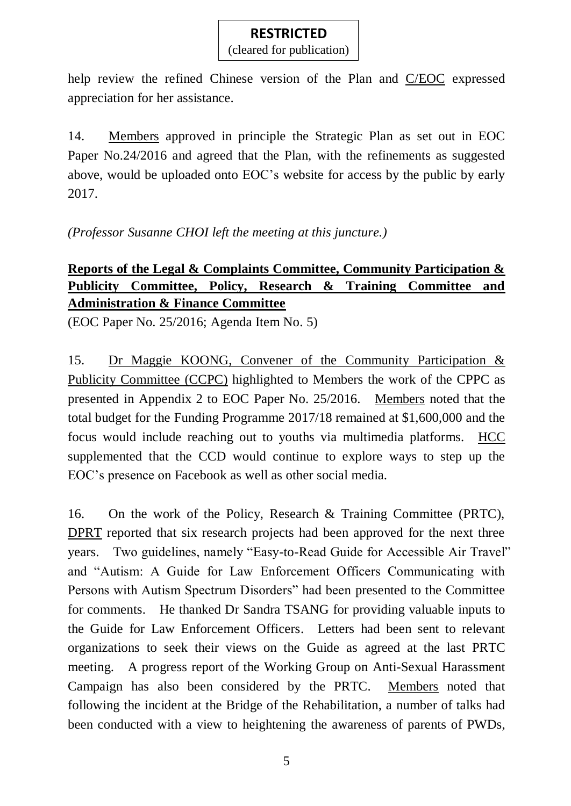(cleared for publication)

help review the refined Chinese version of the Plan and C/EOC expressed appreciation for her assistance.

14. Members approved in principle the Strategic Plan as set out in EOC Paper No.24/2016 and agreed that the Plan, with the refinements as suggested above, would be uploaded onto EOC's website for access by the public by early 2017.

*(Professor Susanne CHOI left the meeting at this juncture.)*

## **Reports of the Legal & Complaints Committee, Community Participation & Publicity Committee, Policy, Research & Training Committee and Administration & Finance Committee**

(EOC Paper No. 25/2016; Agenda Item No. 5)

15. Dr Maggie KOONG, Convener of the Community Participation & Publicity Committee (CCPC) highlighted to Members the work of the CPPC as presented in Appendix 2 to EOC Paper No. 25/2016. Members noted that the total budget for the Funding Programme 2017/18 remained at \$1,600,000 and the focus would include reaching out to youths via multimedia platforms. HCC supplemented that the CCD would continue to explore ways to step up the EOC's presence on Facebook as well as other social media.

16. On the work of the Policy, Research & Training Committee (PRTC), DPRT reported that six research projects had been approved for the next three years. Two guidelines, namely "Easy-to-Read Guide for Accessible Air Travel" and "Autism: A Guide for Law Enforcement Officers Communicating with Persons with Autism Spectrum Disorders" had been presented to the Committee for comments. He thanked Dr Sandra TSANG for providing valuable inputs to the Guide for Law Enforcement Officers. Letters had been sent to relevant organizations to seek their views on the Guide as agreed at the last PRTC meeting. A progress report of the Working Group on Anti-Sexual Harassment Campaign has also been considered by the PRTC. Members noted that following the incident at the Bridge of the Rehabilitation, a number of talks had been conducted with a view to heightening the awareness of parents of PWDs,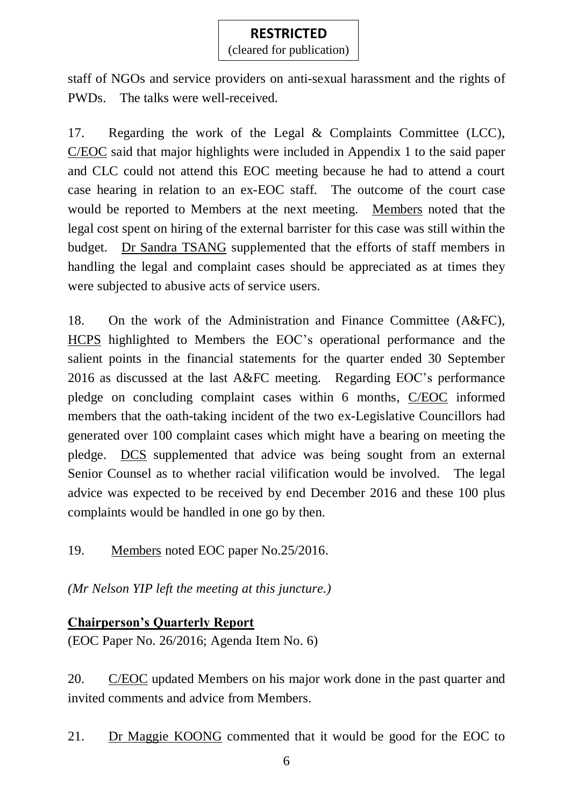(cleared for publication)

staff of NGOs and service providers on anti-sexual harassment and the rights of PWDs. The talks were well-received.

17. Regarding the work of the Legal & Complaints Committee (LCC), C/EOC said that major highlights were included in Appendix 1 to the said paper and CLC could not attend this EOC meeting because he had to attend a court case hearing in relation to an ex-EOC staff. The outcome of the court case would be reported to Members at the next meeting. Members noted that the legal cost spent on hiring of the external barrister for this case was still within the budget. Dr Sandra TSANG supplemented that the efforts of staff members in handling the legal and complaint cases should be appreciated as at times they were subjected to abusive acts of service users.

18. On the work of the Administration and Finance Committee (A&FC), HCPS highlighted to Members the EOC's operational performance and the salient points in the financial statements for the quarter ended 30 September 2016 as discussed at the last A&FC meeting. Regarding EOC's performance pledge on concluding complaint cases within 6 months, C/EOC informed members that the oath-taking incident of the two ex-Legislative Councillors had generated over 100 complaint cases which might have a bearing on meeting the pledge. DCS supplemented that advice was being sought from an external Senior Counsel as to whether racial vilification would be involved. The legal advice was expected to be received by end December 2016 and these 100 plus complaints would be handled in one go by then.

19. Members noted EOC paper No.25/2016.

*(Mr Nelson YIP left the meeting at this juncture.)*

### **Chairperson's Quarterly Report**

(EOC Paper No. 26/2016; Agenda Item No. 6)

20. C/EOC updated Members on his major work done in the past quarter and invited comments and advice from Members.

21. Dr Maggie KOONG commented that it would be good for the EOC to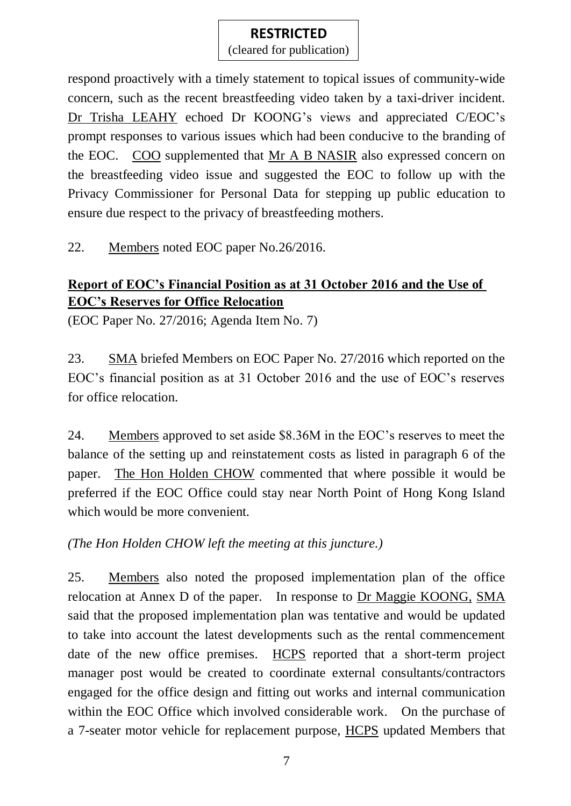(cleared for publication)

respond proactively with a timely statement to topical issues of community-wide concern, such as the recent breastfeeding video taken by a taxi-driver incident. Dr Trisha LEAHY echoed Dr KOONG's views and appreciated C/EOC's prompt responses to various issues which had been conducive to the branding of the EOC. COO supplemented that Mr A B NASIR also expressed concern on the breastfeeding video issue and suggested the EOC to follow up with the Privacy Commissioner for Personal Data for stepping up public education to ensure due respect to the privacy of breastfeeding mothers.

22. Members noted EOC paper No.26/2016.

## **Report of EOC's Financial Position as at 31 October 2016 and the Use of EOC's Reserves for Office Relocation**

(EOC Paper No. 27/2016; Agenda Item No. 7)

23. SMA briefed Members on EOC Paper No. 27/2016 which reported on the EOC's financial position as at 31 October 2016 and the use of EOC's reserves for office relocation.

24. Members approved to set aside \$8.36M in the EOC's reserves to meet the balance of the setting up and reinstatement costs as listed in paragraph 6 of the paper. The Hon Holden CHOW commented that where possible it would be preferred if the EOC Office could stay near North Point of Hong Kong Island which would be more convenient.

*(The Hon Holden CHOW left the meeting at this juncture.)*

25. Members also noted the proposed implementation plan of the office relocation at Annex D of the paper. In response to Dr Maggie KOONG, SMA said that the proposed implementation plan was tentative and would be updated to take into account the latest developments such as the rental commencement date of the new office premises. HCPS reported that a short-term project manager post would be created to coordinate external consultants/contractors engaged for the office design and fitting out works and internal communication within the EOC Office which involved considerable work. On the purchase of a 7-seater motor vehicle for replacement purpose, HCPS updated Members that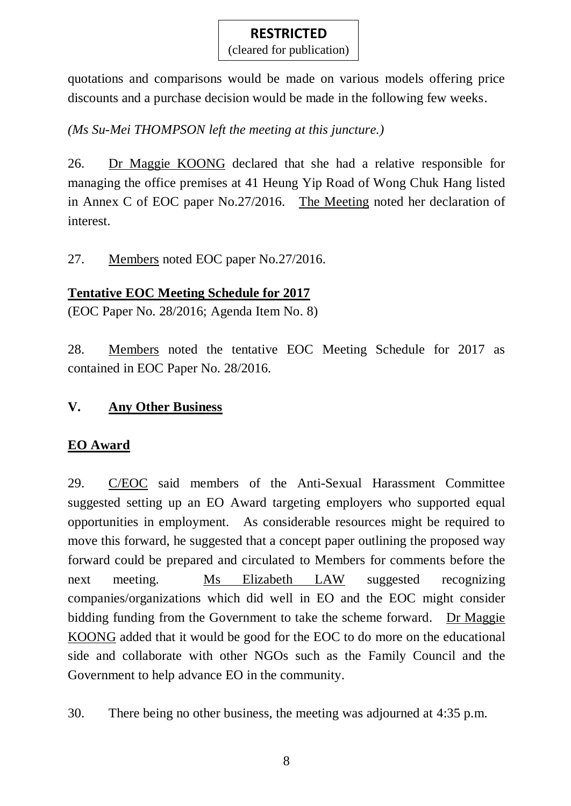(cleared for publication)

quotations and comparisons would be made on various models offering price discounts and a purchase decision would be made in the following few weeks.

*(Ms Su-Mei THOMPSON left the meeting at this juncture.)*

26. Dr Maggie KOONG declared that she had a relative responsible for managing the office premises at 41 Heung Yip Road of Wong Chuk Hang listed in Annex C of EOC paper No.27/2016. The Meeting noted her declaration of interest.

27. Members noted EOC paper No.27/2016.

## **Tentative EOC Meeting Schedule for 2017**

(EOC Paper No. 28/2016; Agenda Item No. 8)

28. Members noted the tentative EOC Meeting Schedule for 2017 as contained in EOC Paper No. 28/2016.

## **V. Any Other Business**

## **EO Award**

29. C/EOC said members of the Anti-Sexual Harassment Committee suggested setting up an EO Award targeting employers who supported equal opportunities in employment. As considerable resources might be required to move this forward, he suggested that a concept paper outlining the proposed way forward could be prepared and circulated to Members for comments before the next meeting. Ms Elizabeth LAW suggested recognizing companies/organizations which did well in EO and the EOC might consider bidding funding from the Government to take the scheme forward. Dr Maggie KOONG added that it would be good for the EOC to do more on the educational side and collaborate with other NGOs such as the Family Council and the Government to help advance EO in the community.

30. There being no other business, the meeting was adjourned at 4:35 p.m.